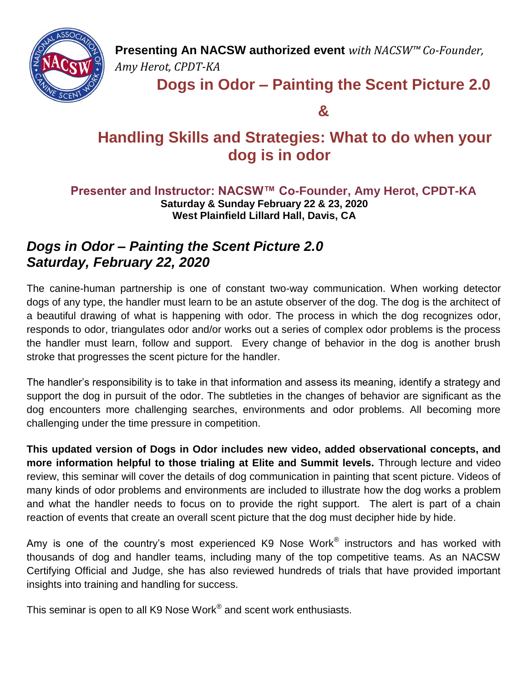

**Presenting An NACSW authorized event** *with NACSW™ Co-Founder, Amy Herot, CPDT-KA*

## **Dogs in Odor – Painting the Scent Picture 2.0**

**&**

# **Handling Skills and Strategies: What to do when your dog is in odor**

## **Presenter and Instructor: NACSW™ Co-Founder, Amy Herot, CPDT-KA Saturday & Sunday February 22 & 23, 2020 West Plainfield Lillard Hall, Davis, CA**

## *Dogs in Odor – Painting the Scent Picture 2.0 Saturday, February 22, 2020*

The canine-human partnership is one of constant two-way communication. When working detector dogs of any type, the handler must learn to be an astute observer of the dog. The dog is the architect of a beautiful drawing of what is happening with odor. The process in which the dog recognizes odor, responds to odor, triangulates odor and/or works out a series of complex odor problems is the process the handler must learn, follow and support. Every change of behavior in the dog is another brush stroke that progresses the scent picture for the handler.

The handler's responsibility is to take in that information and assess its meaning, identify a strategy and support the dog in pursuit of the odor. The subtleties in the changes of behavior are significant as the dog encounters more challenging searches, environments and odor problems. All becoming more challenging under the time pressure in competition.

**This updated version of Dogs in Odor includes new video, added observational concepts, and more information helpful to those trialing at Elite and Summit levels.** Through lecture and video review, this seminar will cover the details of dog communication in painting that scent picture. Videos of many kinds of odor problems and environments are included to illustrate how the dog works a problem and what the handler needs to focus on to provide the right support. The alert is part of a chain reaction of events that create an overall scent picture that the dog must decipher hide by hide.

Amy is one of the country's most experienced K9 Nose Work® instructors and has worked with thousands of dog and handler teams, including many of the top competitive teams. As an NACSW Certifying Official and Judge, she has also reviewed hundreds of trials that have provided important insights into training and handling for success.

This seminar is open to all K9 Nose Work® and scent work enthusiasts.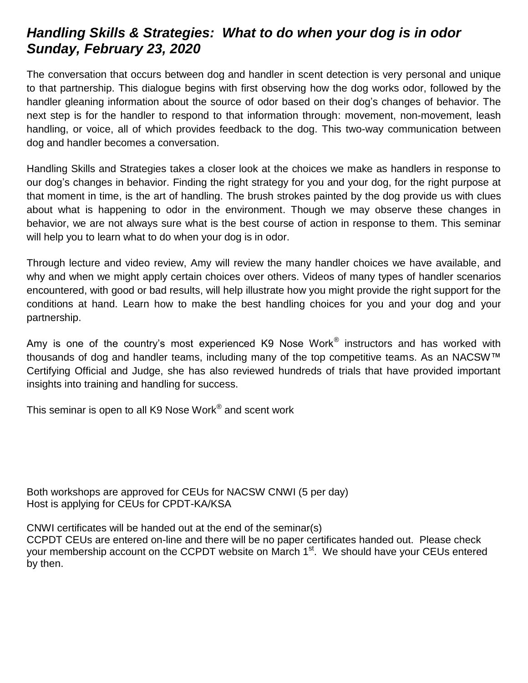## *Handling Skills & Strategies: What to do when your dog is in odor Sunday, February 23, 2020*

The conversation that occurs between dog and handler in scent detection is very personal and unique to that partnership. This dialogue begins with first observing how the dog works odor, followed by the handler gleaning information about the source of odor based on their dog's changes of behavior. The next step is for the handler to respond to that information through: movement, non-movement, leash handling, or voice, all of which provides feedback to the dog. This two-way communication between dog and handler becomes a conversation.

Handling Skills and Strategies takes a closer look at the choices we make as handlers in response to our dog's changes in behavior. Finding the right strategy for you and your dog, for the right purpose at that moment in time, is the art of handling. The brush strokes painted by the dog provide us with clues about what is happening to odor in the environment. Though we may observe these changes in behavior, we are not always sure what is the best course of action in response to them. This seminar will help you to learn what to do when your dog is in odor.

Through lecture and video review, Amy will review the many handler choices we have available, and why and when we might apply certain choices over others. Videos of many types of handler scenarios encountered, with good or bad results, will help illustrate how you might provide the right support for the conditions at hand. Learn how to make the best handling choices for you and your dog and your partnership.

Amy is one of the country's most experienced K9 Nose Work® instructors and has worked with thousands of dog and handler teams, including many of the top competitive teams. As an NACSW™ Certifying Official and Judge, she has also reviewed hundreds of trials that have provided important insights into training and handling for success.

This seminar is open to all K9 Nose Work ${}^{\circledR}$  and scent work

Both workshops are approved for CEUs for NACSW CNWI (5 per day) Host is applying for CEUs for CPDT-KA/KSA

CNWI certificates will be handed out at the end of the seminar(s)

CCPDT CEUs are entered on-line and there will be no paper certificates handed out. Please check your membership account on the CCPDT website on March 1<sup>st</sup>. We should have your CEUs entered by then.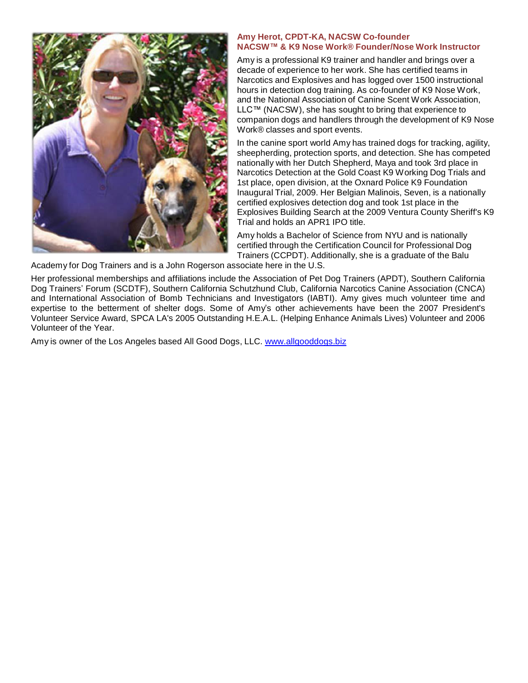

#### **Amy Herot, CPDT-KA, NACSW Co-founder NACSW™ & K9 Nose Work® Founder/Nose Work Instructor**

Amy is a professional K9 trainer and handler and brings over a decade of experience to her work. She has certified teams in Narcotics and Explosives and has logged over 1500 instructional hours in detection dog training. As co-founder of K9 Nose Work, and the National Association of Canine Scent Work Association, LLC™ (NACSW), she has sought to bring that experience to companion dogs and handlers through the development of K9 Nose Work® classes and sport events.

In the canine sport world Amy has trained dogs for tracking, agility, sheepherding, protection sports, and detection. She has competed nationally with her Dutch Shepherd, Maya and took 3rd place in Narcotics Detection at the Gold Coast K9 Working Dog Trials and 1st place, open division, at the Oxnard Police K9 Foundation Inaugural Trial, 2009. Her Belgian Malinois, Seven, is a nationally certified explosives detection dog and took 1st place in the Explosives Building Search at the 2009 Ventura County Sheriff's K9 Trial and holds an APR1 IPO title.

Amy holds a Bachelor of Science from NYU and is nationally certified through the Certification Council for Professional Dog Trainers (CCPDT). Additionally, she is a graduate of the Balu

Academy for Dog Trainers and is a John Rogerson associate here in the U.S.

Her professional memberships and affiliations include the Association of Pet Dog Trainers (APDT), Southern California Dog Trainers' Forum (SCDTF), Southern California Schutzhund Club, California Narcotics Canine Association (CNCA) and International Association of Bomb Technicians and Investigators (IABTI). Amy gives much volunteer time and expertise to the betterment of shelter dogs. Some of Amy's other achievements have been the 2007 President's Volunteer Service Award, SPCA LA's 2005 Outstanding H.E.A.L. (Helping Enhance Animals Lives) Volunteer and 2006 Volunteer of the Year.

Amy is owner of the Los Angeles based All Good Dogs, LLC. [www.allgooddogs.biz](http://www.allgooddogs.biz/)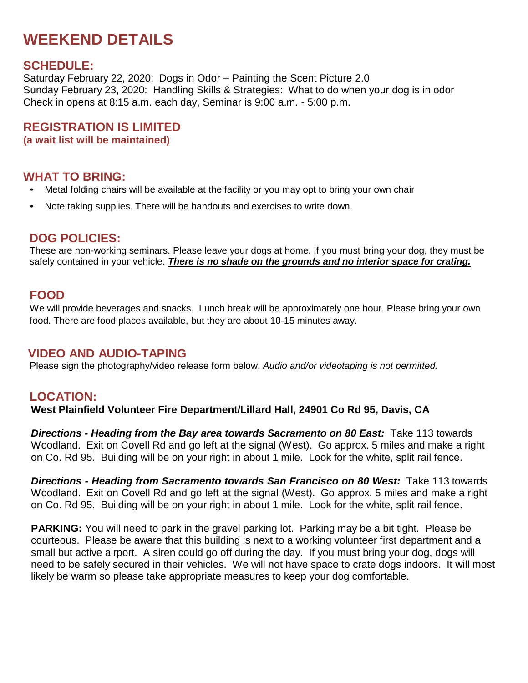# **WEEKEND DETAILS**

## **SCHEDULE:**

Saturday February 22, 2020: Dogs in Odor – Painting the Scent Picture 2.0 Sunday February 23, 2020: Handling Skills & Strategies: What to do when your dog is in odor Check in opens at 8:15 a.m. each day, Seminar is 9:00 a.m. - 5:00 p.m.

**REGISTRATION IS LIMITED**

**(a wait list will be maintained)**

## **WHAT TO BRING:**

- Metal folding chairs will be available at the facility or you may opt to bring your own chair
- Note taking supplies. There will be handouts and exercises to write down.

## **DOG POLICIES:**

These are non-working seminars. Please leave your dogs at home. If you must bring your dog, they must be safely contained in your vehicle. *There is no shade on the grounds and no interior space for crating.*

## **FOOD**

We will provide beverages and snacks. Lunch break will be approximately one hour. Please bring your own food. There are food places available, but they are about 10-15 minutes away.

### **VIDEO AND AUDIO-TAPING**

Please sign the photography/video release form below. *Audio and/or videotaping is not permitted.*

## **LOCATION:**

**West Plainfield Volunteer Fire Department/Lillard Hall, 24901 Co Rd 95, Davis, CA**

*Directions - Heading from the Bay area towards Sacramento on 80 East:* Take 113 towards Woodland. Exit on Covell Rd and go left at the signal (West). Go approx. 5 miles and make a right on Co. Rd 95. Building will be on your right in about 1 mile. Look for the white, split rail fence.

*Directions - Heading from Sacramento towards San Francisco on 80 West:* Take 113 towards Woodland. Exit on Covell Rd and go left at the signal (West). Go approx. 5 miles and make a right on Co. Rd 95. Building will be on your right in about 1 mile. Look for the white, split rail fence.

**PARKING:** You will need to park in the gravel parking lot. Parking may be a bit tight. Please be courteous. Please be aware that this building is next to a working volunteer first department and a small but active airport. A siren could go off during the day. If you must bring your dog, dogs will need to be safely secured in their vehicles. We will not have space to crate dogs indoors. It will most likely be warm so please take appropriate measures to keep your dog comfortable.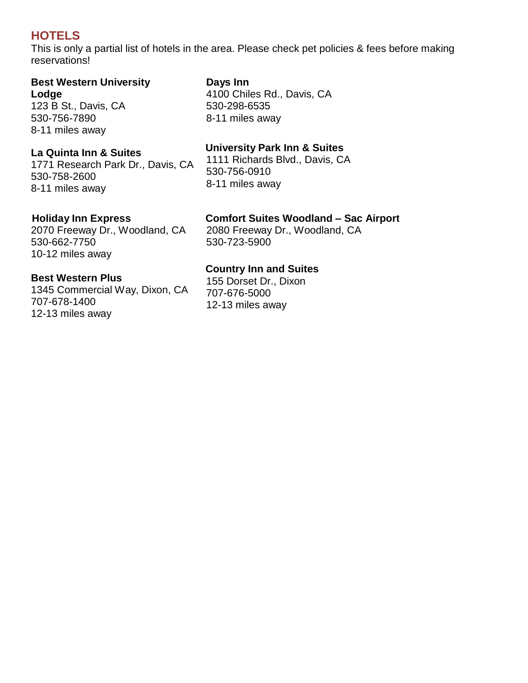## **HOTELS**

This is only a partial list of hotels in the area. Please check pet policies & fees before making reservations!

#### **Best Western University Lodge**

123 B St., Davis, CA 530-756-7890 8-11 miles away

### **La Quinta Inn & Suites**

1771 Research Park Dr., Davis, CA 530-758-2600 8-11 miles away

## **Days Inn** 4100 Chiles Rd., Davis, CA

530-298-6535 8-11 miles away

## **University Park Inn & Suites**

1111 Richards Blvd., Davis, CA 530-756-0910 8-11 miles away

## **Holiday Inn Express**

2070 Freeway Dr., Woodland, CA 530-662-7750 10-12 miles away

### **Best Western Plus**

1345 Commercial Way, Dixon, CA 707-678-1400 12-13 miles away

#### **Comfort Suites Woodland – Sac Airport**

2080 Freeway Dr., Woodland, CA 530-723-5900

## **Country Inn and Suites**

155 Dorset Dr., Dixon 707-676-5000 12-13 miles away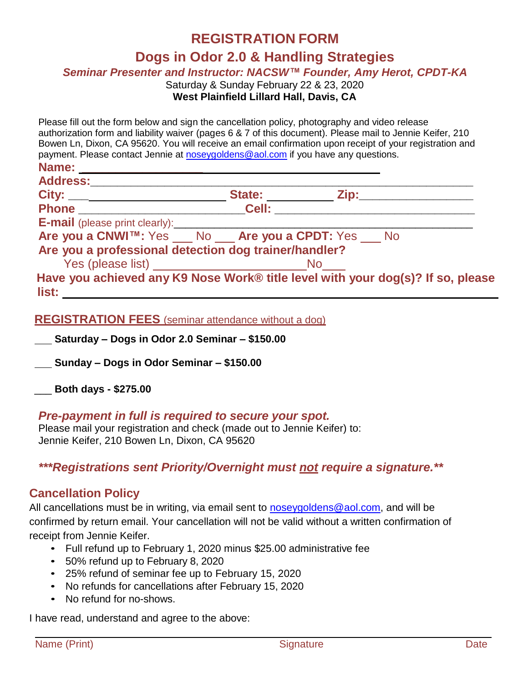## **REGISTRATION FORM**

## **Dogs in Odor 2.0 & Handling Strategies**

*Seminar Presenter and Instructor: NACSW™ Founder, Amy Herot, CPDT-KA*

Saturday & Sunday February 22 & 23, 2020

#### **West Plainfield Lillard Hall, Davis, CA**

Please fill out the form below and sign the cancellation policy, photography and video release authorization form and liability waiver (pages 6 & 7 of this document). Please mail to Jennie Keifer, 210 Bowen Ln, Dixon, CA 95620. You will receive an email confirmation upon receipt of your registration and payment. Please contact Jennie at [noseygoldens@aol.com](mailto:noseygoldens@aol.com) if you have any questions.

| Name: _______________                                                           |  |  |
|---------------------------------------------------------------------------------|--|--|
| <b>Address:</b>                                                                 |  |  |
|                                                                                 |  |  |
|                                                                                 |  |  |
|                                                                                 |  |  |
| Are you a CNWI™: Yes No Are you a CPDT: Yes No                                  |  |  |
| Are you a professional detection dog trainer/handler?                           |  |  |
|                                                                                 |  |  |
| Have you achieved any K9 Nose Work® title level with your dog(s)? If so, please |  |  |

| v | $\sim$ |  |
|---|--------|--|

### **REGISTRATION FEES** (seminar attendance without a dog)

**Saturday – Dogs in Odor 2.0 Seminar – \$150.00**

**Sunday – Dogs in Odor Seminar – \$150.00**

\_\_\_ **Both days - \$275.00** 

#### *Pre-payment in full is required to secure your spot.*

Please mail your registration and check (made out to Jennie Keifer) to: Jennie Keifer, 210 Bowen Ln, Dixon, CA 95620

*\*\*\*Registrations sent Priority/Overnight must not require a signature.\*\** 

### **Cancellation Policy**

All cancellations must be in writing, via email sent to [noseygoldens@aol.com,](mailto:noseygoldens@aol.com) and will be confirmed by return email. Your cancellation will not be valid without a written confirmation of receipt from Jennie Keifer.

- Full refund up to February 1, 2020 minus \$25.00 administrative fee
- 50% refund up to February 8, 2020
- 25% refund of seminar fee up to February 15, 2020
- No refunds for cancellations after February 15, 2020
- No refund for no-shows.

I have read, understand and agree to the above: